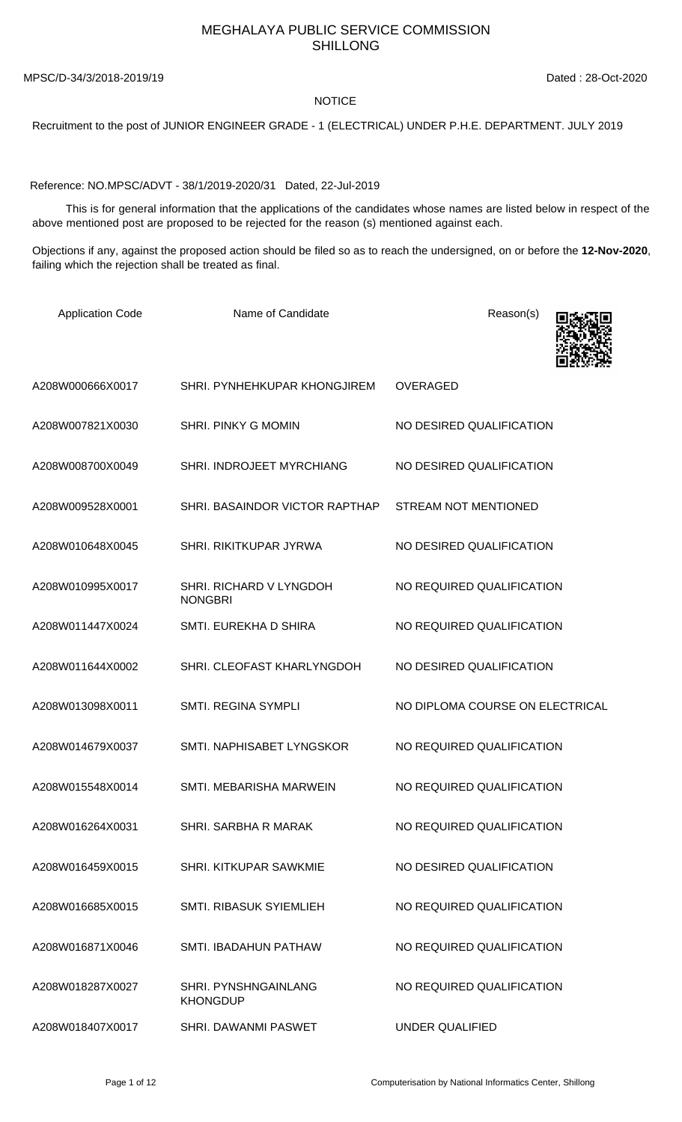## MEGHALAYA PUBLIC SERVICE COMMISSION SHILLONG

MPSC/D-34/3/2018-2019/19 Dated : 28-Oct-2020

## **NOTICE**

Recruitment to the post of JUNIOR ENGINEER GRADE - 1 (ELECTRICAL) UNDER P.H.E. DEPARTMENT. JULY 2019

Reference: NO.MPSC/ADVT - 38/1/2019-2020/31 Dated, 22-Jul-2019

 This is for general information that the applications of the candidates whose names are listed below in respect of the above mentioned post are proposed to be rejected for the reason (s) mentioned against each.

Objections if any, against the proposed action should be filed so as to reach the undersigned, on or before the **12-Nov-2020**, failing which the rejection shall be treated as final.

| <b>Application Code</b> | Name of Candidate                         | Reason(s)                       |
|-------------------------|-------------------------------------------|---------------------------------|
| A208W000666X0017        | SHRI. PYNHEHKUPAR KHONGJIREM              | <b>OVERAGED</b>                 |
| A208W007821X0030        | SHRI. PINKY G MOMIN                       | NO DESIRED QUALIFICATION        |
| A208W008700X0049        | SHRI. INDROJEET MYRCHIANG                 | NO DESIRED QUALIFICATION        |
| A208W009528X0001        | SHRI. BASAINDOR VICTOR RAPTHAP            | <b>STREAM NOT MENTIONED</b>     |
| A208W010648X0045        | SHRI. RIKITKUPAR JYRWA                    | NO DESIRED QUALIFICATION        |
| A208W010995X0017        | SHRI. RICHARD V LYNGDOH<br><b>NONGBRI</b> | NO REQUIRED QUALIFICATION       |
| A208W011447X0024        | SMTI. EUREKHA D SHIRA                     | NO REQUIRED QUALIFICATION       |
| A208W011644X0002        | SHRI. CLEOFAST KHARLYNGDOH                | NO DESIRED QUALIFICATION        |
| A208W013098X0011        | SMTI. REGINA SYMPLI                       | NO DIPLOMA COURSE ON ELECTRICAL |
| A208W014679X0037        | SMTI. NAPHISABET LYNGSKOR                 | NO REQUIRED QUALIFICATION       |
| A208W015548X0014        | SMTI. MEBARISHA MARWEIN                   | NO REQUIRED QUALIFICATION       |
| A208W016264X0031        | SHRI. SARBHA R MARAK                      | NO REQUIRED QUALIFICATION       |
| A208W016459X0015        | <b>SHRI, KITKUPAR SAWKMIE</b>             | NO DESIRED QUALIFICATION        |
| A208W016685X0015        | <b>SMTI. RIBASUK SYIEMLIEH</b>            | NO REQUIRED QUALIFICATION       |
| A208W016871X0046        | SMTI. IBADAHUN PATHAW                     | NO REQUIRED QUALIFICATION       |
| A208W018287X0027        | SHRI. PYNSHNGAINLANG<br><b>KHONGDUP</b>   | NO REQUIRED QUALIFICATION       |
| A208W018407X0017        | SHRI. DAWANMI PASWET                      | <b>UNDER QUALIFIED</b>          |

Page 1 of 12 Computerisation by National Informatics Center, Shillong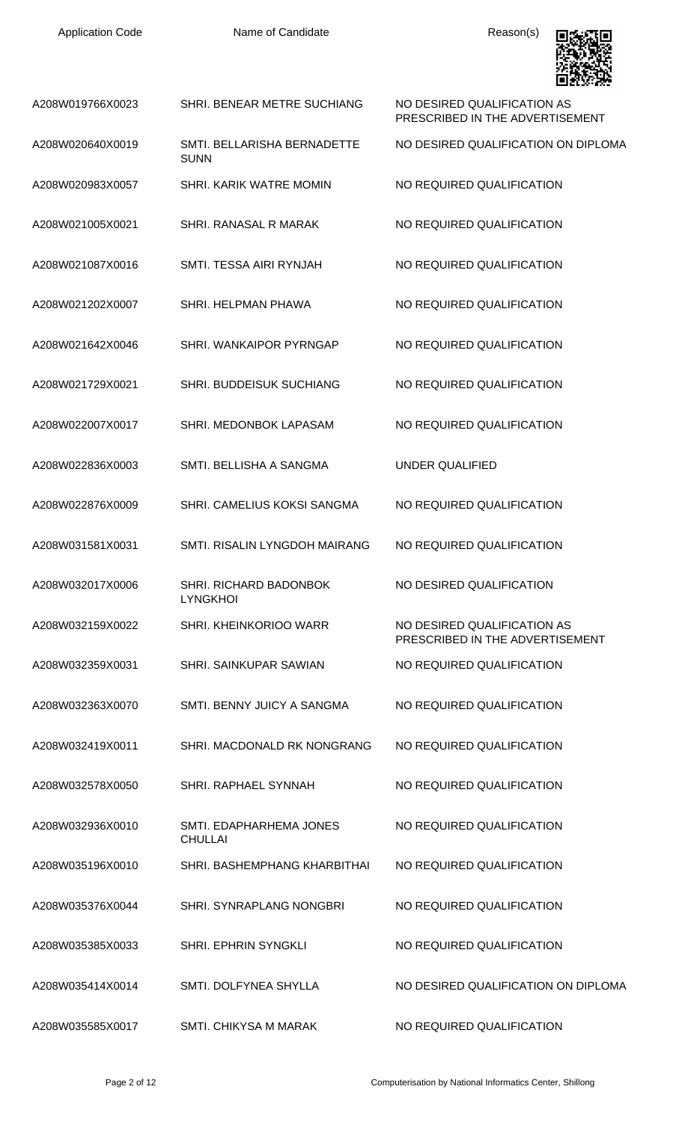Application Code **Name of Candidate Name of Candidate Reason(s)** 



|                  |                                            | LEIGLY 1700                                                    |
|------------------|--------------------------------------------|----------------------------------------------------------------|
| A208W019766X0023 | SHRI. BENEAR METRE SUCHIANG                | NO DESIRED QUALIFICATION AS<br>PRESCRIBED IN THE ADVERTISEMENT |
| A208W020640X0019 | SMTI. BELLARISHA BERNADETTE<br><b>SUNN</b> | NO DESIRED QUALIFICATION ON DIPLOMA                            |
| A208W020983X0057 | SHRI. KARIK WATRE MOMIN                    | NO REQUIRED QUALIFICATION                                      |
| A208W021005X0021 | SHRI. RANASAL R MARAK                      | NO REQUIRED QUALIFICATION                                      |
| A208W021087X0016 | SMTI. TESSA AIRI RYNJAH                    | NO REQUIRED QUALIFICATION                                      |
| A208W021202X0007 | SHRI. HELPMAN PHAWA                        | NO REQUIRED QUALIFICATION                                      |
| A208W021642X0046 | SHRI. WANKAIPOR PYRNGAP                    | NO REQUIRED QUALIFICATION                                      |
| A208W021729X0021 | <b>SHRI. BUDDEISUK SUCHIANG</b>            | NO REQUIRED QUALIFICATION                                      |
| A208W022007X0017 | SHRI. MEDONBOK LAPASAM                     | NO REQUIRED QUALIFICATION                                      |
| A208W022836X0003 | SMTI. BELLISHA A SANGMA                    | <b>UNDER QUALIFIED</b>                                         |
| A208W022876X0009 | SHRI. CAMELIUS KOKSI SANGMA                | NO REQUIRED QUALIFICATION                                      |
| A208W031581X0031 | SMTI. RISALIN LYNGDOH MAIRANG              | NO REQUIRED QUALIFICATION                                      |
| A208W032017X0006 | SHRI. RICHARD BADONBOK<br><b>LYNGKHOI</b>  | NO DESIRED QUALIFICATION                                       |
| A208W032159X0022 | <b>SHRI, KHEINKORIOO WARR</b>              | NO DESIRED QUALIFICATION AS<br>PRESCRIBED IN THE ADVERTISEMENT |
| A208W032359X0031 | SHRI. SAINKUPAR SAWIAN                     | NO REQUIRED QUALIFICATION                                      |
| A208W032363X0070 | SMTI. BENNY JUICY A SANGMA                 | NO REQUIRED QUALIFICATION                                      |
| A208W032419X0011 | SHRI. MACDONALD RK NONGRANG                | NO REQUIRED QUALIFICATION                                      |
| A208W032578X0050 | <b>SHRI. RAPHAEL SYNNAH</b>                | NO REQUIRED QUALIFICATION                                      |
| A208W032936X0010 | SMTI. EDAPHARHEMA JONES<br><b>CHULLAI</b>  | NO REQUIRED QUALIFICATION                                      |
| A208W035196X0010 | SHRI. BASHEMPHANG KHARBITHAI               | NO REQUIRED QUALIFICATION                                      |
| A208W035376X0044 | <b>SHRI. SYNRAPLANG NONGBRI</b>            | NO REQUIRED QUALIFICATION                                      |
| A208W035385X0033 | <b>SHRI. EPHRIN SYNGKLI</b>                | NO REQUIRED QUALIFICATION                                      |
| A208W035414X0014 | SMTI. DOLFYNEA SHYLLA                      | NO DESIRED QUALIFICATION ON DIPLOMA                            |
| A208W035585X0017 | <b>SMTI. CHIKYSA M MARAK</b>               | NO REQUIRED QUALIFICATION                                      |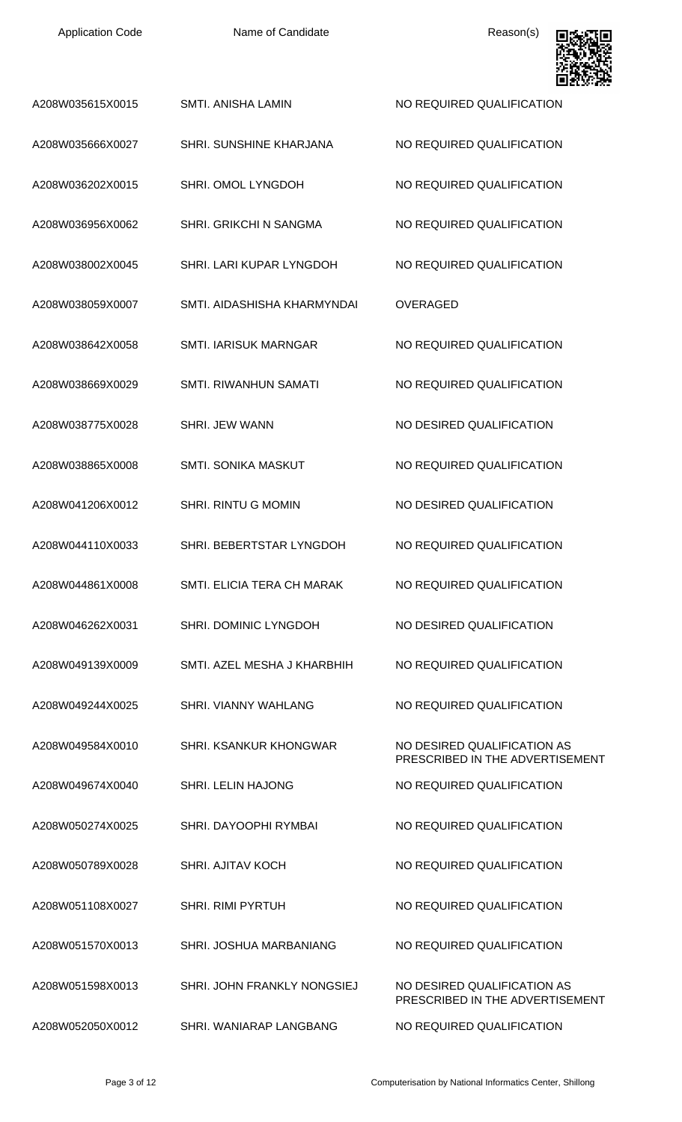Name of Candidate **Reason(s)** 



| A208W035615X0015 | <b>SMTI. ANISHA LAMIN</b>      | NO REQUIRED QUALIFICATION                                      |
|------------------|--------------------------------|----------------------------------------------------------------|
| A208W035666X0027 | <b>SHRI. SUNSHINE KHARJANA</b> | NO REQUIRED QUALIFICATION                                      |
| A208W036202X0015 | SHRI. OMOL LYNGDOH             | NO REQUIRED QUALIFICATION                                      |
| A208W036956X0062 | <b>SHRI. GRIKCHI N SANGMA</b>  | NO REQUIRED QUALIFICATION                                      |
| A208W038002X0045 | SHRI. LARI KUPAR LYNGDOH       | NO REQUIRED QUALIFICATION                                      |
| A208W038059X0007 | SMTI. AIDASHISHA KHARMYNDAI    | <b>OVERAGED</b>                                                |
| A208W038642X0058 | <b>SMTI. IARISUK MARNGAR</b>   | NO REQUIRED QUALIFICATION                                      |
| A208W038669X0029 | <b>SMTI. RIWANHUN SAMATI</b>   | NO REQUIRED QUALIFICATION                                      |
| A208W038775X0028 | <b>SHRI. JEW WANN</b>          | NO DESIRED QUALIFICATION                                       |
| A208W038865X0008 | SMTI. SONIKA MASKUT            | NO REQUIRED QUALIFICATION                                      |
| A208W041206X0012 | <b>SHRI. RINTU G MOMIN</b>     | NO DESIRED QUALIFICATION                                       |
| A208W044110X0033 | SHRI. BEBERTSTAR LYNGDOH       | NO REQUIRED QUALIFICATION                                      |
| A208W044861X0008 | SMTI. ELICIA TERA CH MARAK     | NO REQUIRED QUALIFICATION                                      |
| A208W046262X0031 | SHRI. DOMINIC LYNGDOH          | NO DESIRED QUALIFICATION                                       |
| A208W049139X0009 | SMTI. AZEL MESHA J KHARBHIH    | NO REQUIRED QUALIFICATION                                      |
| A208W049244X0025 | <b>SHRI. VIANNY WAHLANG</b>    | NO REQUIRED QUALIFICATION                                      |
| A208W049584X0010 | SHRI. KSANKUR KHONGWAR         | NO DESIRED QUALIFICATION AS<br>PRESCRIBED IN THE ADVERTISEMENT |
| A208W049674X0040 | <b>SHRI. LELIN HAJONG</b>      | NO REQUIRED QUALIFICATION                                      |
| A208W050274X0025 | SHRI. DAYOOPHI RYMBAI          | NO REQUIRED QUALIFICATION                                      |
| A208W050789X0028 | <b>SHRI. AJITAV KOCH</b>       | NO REQUIRED QUALIFICATION                                      |
| A208W051108X0027 | <b>SHRI. RIMI PYRTUH</b>       | NO REQUIRED QUALIFICATION                                      |
| A208W051570X0013 | SHRI. JOSHUA MARBANIANG        | NO REQUIRED QUALIFICATION                                      |
| A208W051598X0013 | SHRI. JOHN FRANKLY NONGSIEJ    | NO DESIRED QUALIFICATION AS<br>PRESCRIBED IN THE ADVERTISEMENT |
| A208W052050X0012 | SHRI. WANIARAP LANGBANG        | NO REQUIRED QUALIFICATION                                      |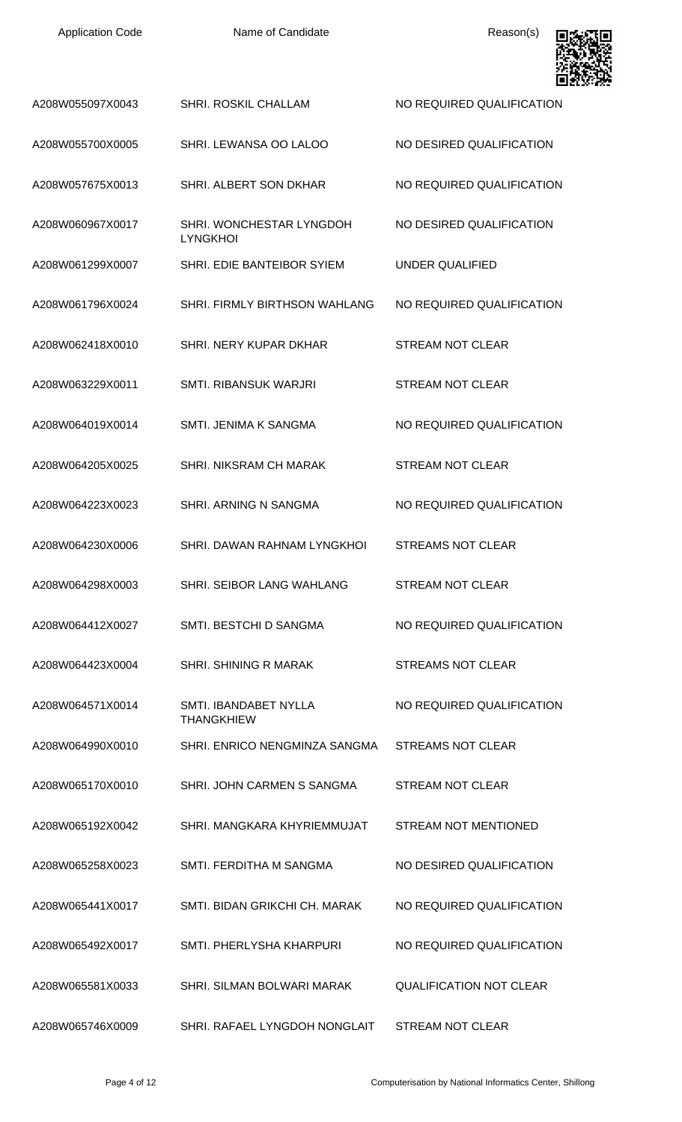| <b>Application Code</b> | Name of Candidate                           | Reason(s)                      |
|-------------------------|---------------------------------------------|--------------------------------|
| A208W055097X0043        | SHRI. ROSKIL CHALLAM                        | NO REQUIRED QUALIFICATION      |
| A208W055700X0005        | SHRI. LEWANSA OO LALOO                      | NO DESIRED QUALIFICATION       |
| A208W057675X0013        | SHRI. ALBERT SON DKHAR                      | NO REQUIRED QUALIFICATION      |
| A208W060967X0017        | SHRI. WONCHESTAR LYNGDOH<br><b>LYNGKHOI</b> | NO DESIRED QUALIFICATION       |
| A208W061299X0007        | SHRI. EDIE BANTEIBOR SYIEM                  | <b>UNDER QUALIFIED</b>         |
| A208W061796X0024        | SHRI. FIRMLY BIRTHSON WAHLANG               | NO REQUIRED QUALIFICATION      |
| A208W062418X0010        | SHRI. NERY KUPAR DKHAR                      | <b>STREAM NOT CLEAR</b>        |
| A208W063229X0011        | SMTI. RIBANSUK WARJRI                       | <b>STREAM NOT CLEAR</b>        |
| A208W064019X0014        | SMTI. JENIMA K SANGMA                       | NO REQUIRED QUALIFICATION      |
| A208W064205X0025        | SHRI. NIKSRAM CH MARAK                      | <b>STREAM NOT CLEAR</b>        |
| A208W064223X0023        | SHRI. ARNING N SANGMA                       | NO REQUIRED QUALIFICATION      |
| A208W064230X0006        | SHRI, DAWAN RAHNAM LYNGKHOL                 | <b>STREAMS NOT CLEAR</b>       |
| A208W064298X0003        | SHRI. SEIBOR LANG WAHLANG                   | STREAM NOT CLEAR               |
| A208W064412X0027        | SMTI. BESTCHI D SANGMA                      | NO REQUIRED QUALIFICATION      |
| A208W064423X0004        | SHRI. SHINING R MARAK                       | <b>STREAMS NOT CLEAR</b>       |
| A208W064571X0014        | SMTI. IBANDABET NYLLA<br><b>THANGKHIEW</b>  | NO REQUIRED QUALIFICATION      |
| A208W064990X0010        | SHRI. ENRICO NENGMINZA SANGMA               | STREAMS NOT CLEAR              |
| A208W065170X0010        | SHRI. JOHN CARMEN S SANGMA                  | STREAM NOT CLEAR               |
| A208W065192X0042        | SHRI. MANGKARA KHYRIEMMUJAT                 | STREAM NOT MENTIONED           |
| A208W065258X0023        | SMTI. FERDITHA M SANGMA                     | NO DESIRED QUALIFICATION       |
| A208W065441X0017        | SMTI, BIDAN GRIKCHI CH, MARAK               | NO REQUIRED QUALIFICATION      |
| A208W065492X0017        | SMTL PHERLYSHA KHARPURI                     | NO REQUIRED QUALIFICATION      |
| A208W065581X0033        | SHRI. SILMAN BOLWARI MARAK                  | <b>OUALIFICATION NOT CLEAR</b> |
| A208W065746X0009        | SHRI. RAFAEL LYNGDOH NONGLAIT               | <b>STREAM NOT CLEAR</b>        |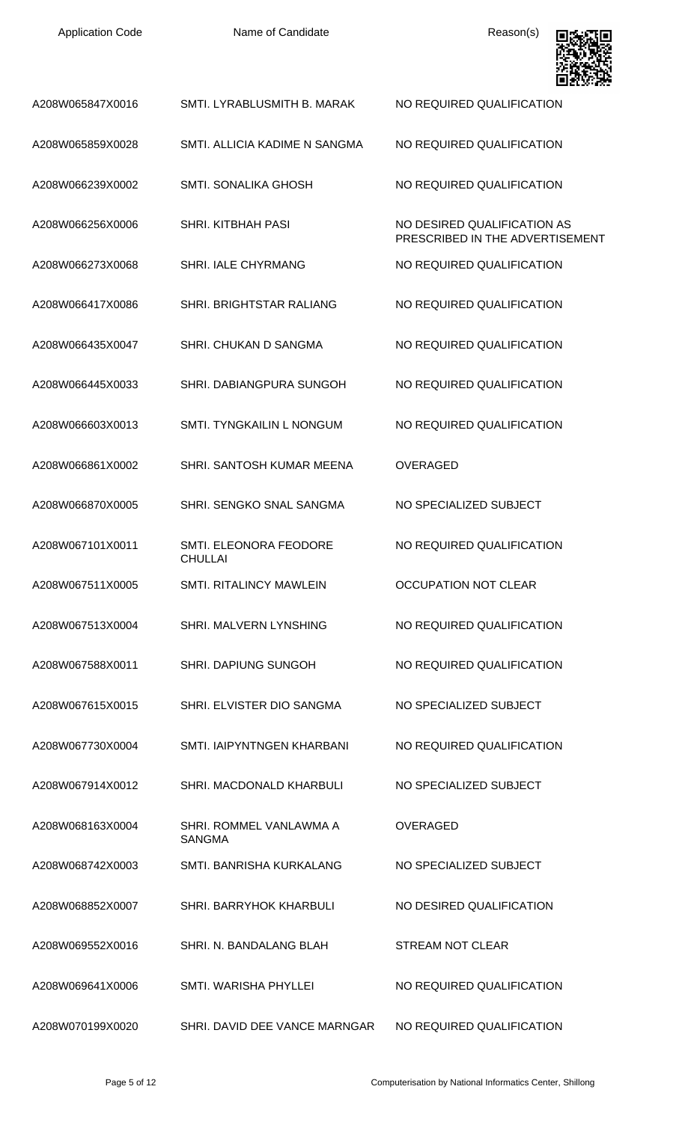| <b>Application Code</b> |  |
|-------------------------|--|
|-------------------------|--|

Name of Candidate **Reason(s)** 



| A208W065847X0016 | SMTI. LYRABLUSMITH B. MARAK              | NO REQUIRED QUALIFICATION                                      |
|------------------|------------------------------------------|----------------------------------------------------------------|
| A208W065859X0028 | SMTI. ALLICIA KADIME N SANGMA            | NO REQUIRED QUALIFICATION                                      |
| A208W066239X0002 | <b>SMTI. SONALIKA GHOSH</b>              | NO REQUIRED QUALIFICATION                                      |
| A208W066256X0006 | <b>SHRI. KITBHAH PASI</b>                | NO DESIRED QUALIFICATION AS<br>PRESCRIBED IN THE ADVERTISEMENT |
| A208W066273X0068 | <b>SHRI. IALE CHYRMANG</b>               | NO REQUIRED QUALIFICATION                                      |
| A208W066417X0086 | SHRI. BRIGHTSTAR RALIANG                 | NO REQUIRED QUALIFICATION                                      |
| A208W066435X0047 | SHRI. CHUKAN D SANGMA                    | NO REQUIRED QUALIFICATION                                      |
| A208W066445X0033 | SHRI. DABIANGPURA SUNGOH                 | NO REQUIRED QUALIFICATION                                      |
| A208W066603X0013 | SMTI. TYNGKAILIN L NONGUM                | NO REQUIRED QUALIFICATION                                      |
| A208W066861X0002 | SHRI. SANTOSH KUMAR MEENA                | <b>OVERAGED</b>                                                |
| A208W066870X0005 | SHRI. SENGKO SNAL SANGMA                 | NO SPECIALIZED SUBJECT                                         |
| A208W067101X0011 | SMTI. ELEONORA FEODORE<br><b>CHULLAI</b> | NO REQUIRED QUALIFICATION                                      |
| A208W067511X0005 | SMTI, RITALINCY MAWLEIN                  | <b>OCCUPATION NOT CLEAR</b>                                    |
| A208W067513X0004 | <b>SHRI. MALVERN LYNSHING</b>            | NO REQUIRED QUALIFICATION                                      |
| A208W067588X0011 | <b>SHRI. DAPIUNG SUNGOH</b>              | NO REQUIRED QUALIFICATION                                      |
| A208W067615X0015 | SHRI. ELVISTER DIO SANGMA                | NO SPECIALIZED SUBJECT                                         |
| A208W067730X0004 | SMTI, IAIPYNTNGEN KHARBANI               | NO REQUIRED QUALIFICATION                                      |
| A208W067914X0012 | SHRI. MACDONALD KHARBULI                 | NO SPECIALIZED SUBJECT                                         |
| A208W068163X0004 | SHRI. ROMMEL VANLAWMA A<br><b>SANGMA</b> | <b>OVERAGED</b>                                                |
| A208W068742X0003 | SMTI. BANRISHA KURKALANG                 | NO SPECIALIZED SUBJECT                                         |
| A208W068852X0007 | <b>SHRI. BARRYHOK KHARBULI</b>           | NO DESIRED QUALIFICATION                                       |
| A208W069552X0016 | SHRI. N. BANDALANG BLAH                  | <b>STREAM NOT CLEAR</b>                                        |
| A208W069641X0006 | SMTI. WARISHA PHYLLEI                    | NO REQUIRED QUALIFICATION                                      |
| A208W070199X0020 | SHRI. DAVID DEE VANCE MARNGAR            | NO REQUIRED QUALIFICATION                                      |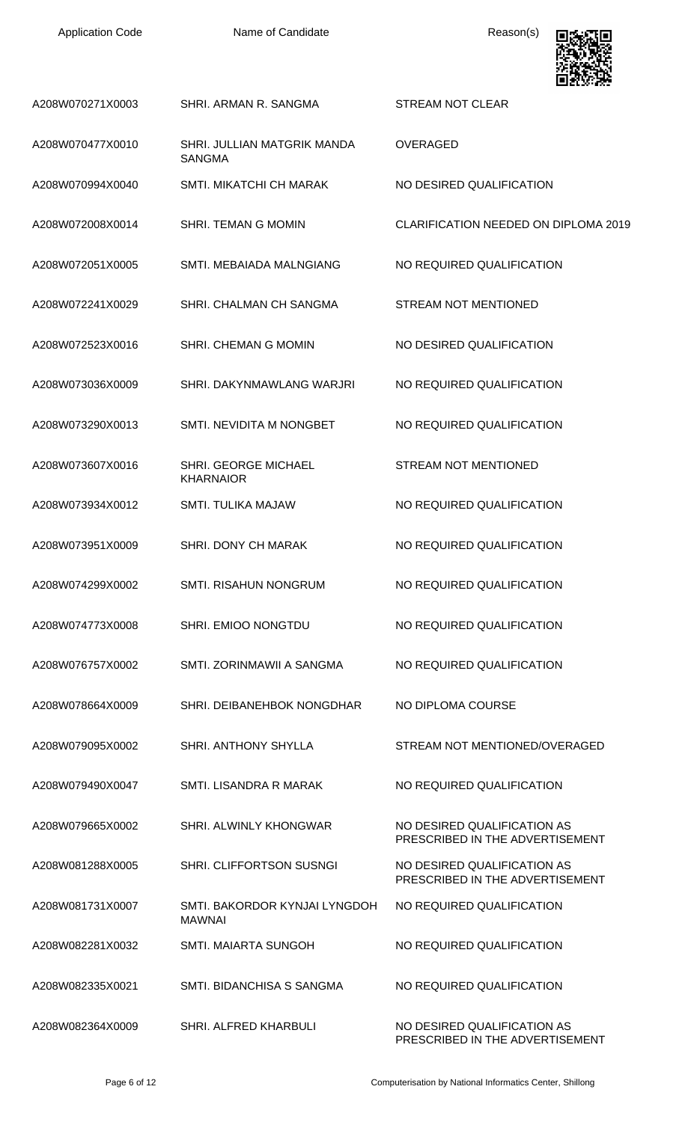| <b>Application Code</b> |  |
|-------------------------|--|
|-------------------------|--|

Name of Candidate **Reason(s)** 



|                  |                                                | ⊒cl≫ nc                                                        |
|------------------|------------------------------------------------|----------------------------------------------------------------|
| A208W070271X0003 | SHRI. ARMAN R. SANGMA                          | <b>STREAM NOT CLEAR</b>                                        |
| A208W070477X0010 | SHRI. JULLIAN MATGRIK MANDA<br><b>SANGMA</b>   | <b>OVERAGED</b>                                                |
| A208W070994X0040 | <b>SMTI. MIKATCHI CH MARAK</b>                 | NO DESIRED QUALIFICATION                                       |
| A208W072008X0014 | <b>SHRI. TEMAN G MOMIN</b>                     | <b>CLARIFICATION NEEDED ON DIPLOMA 2019</b>                    |
| A208W072051X0005 | SMTI. MEBAIADA MALNGIANG                       | NO REQUIRED QUALIFICATION                                      |
| A208W072241X0029 | SHRI. CHALMAN CH SANGMA                        | <b>STREAM NOT MENTIONED</b>                                    |
| A208W072523X0016 | SHRI. CHEMAN G MOMIN                           | NO DESIRED QUALIFICATION                                       |
| A208W073036X0009 | SHRI. DAKYNMAWLANG WARJRI                      | NO REQUIRED QUALIFICATION                                      |
| A208W073290X0013 | SMTI. NEVIDITA M NONGBET                       | NO REQUIRED QUALIFICATION                                      |
| A208W073607X0016 | SHRI. GEORGE MICHAEL<br><b>KHARNAIOR</b>       | <b>STREAM NOT MENTIONED</b>                                    |
| A208W073934X0012 | <b>SMTI. TULIKA MAJAW</b>                      | NO REQUIRED QUALIFICATION                                      |
| A208W073951X0009 | SHRI. DONY CH MARAK                            | NO REQUIRED QUALIFICATION                                      |
| A208W074299X0002 | SMTI. RISAHUN NONGRUM                          | NO REQUIRED QUALIFICATION                                      |
| A208W074773X0008 | <b>SHRI. EMIOO NONGTDU</b>                     | NO REQUIRED QUALIFICATION                                      |
| A208W076757X0002 | SMTI, ZORINMAWII A SANGMA                      | NO REQUIRED QUALIFICATION                                      |
| A208W078664X0009 | SHRI. DEIBANEHBOK NONGDHAR                     | NO DIPLOMA COURSE                                              |
| A208W079095X0002 | <b>SHRI. ANTHONY SHYLLA</b>                    | STREAM NOT MENTIONED/OVERAGED                                  |
| A208W079490X0047 | <b>SMTI. LISANDRA R MARAK</b>                  | NO REQUIRED QUALIFICATION                                      |
| A208W079665X0002 | <b>SHRI. ALWINLY KHONGWAR</b>                  | NO DESIRED QUALIFICATION AS<br>PRESCRIBED IN THE ADVERTISEMENT |
| A208W081288X0005 | <b>SHRI. CLIFFORTSON SUSNGI</b>                | NO DESIRED QUALIFICATION AS<br>PRESCRIBED IN THE ADVERTISEMENT |
| A208W081731X0007 | SMTI. BAKORDOR KYNJAI LYNGDOH<br><b>MAWNAI</b> | NO REQUIRED QUALIFICATION                                      |
| A208W082281X0032 | <b>SMTI. MAIARTA SUNGOH</b>                    | NO REQUIRED QUALIFICATION                                      |
| A208W082335X0021 | SMTI. BIDANCHISA S SANGMA                      | NO REQUIRED QUALIFICATION                                      |
| A208W082364X0009 | SHRI. ALFRED KHARBULI                          | NO DESIRED QUALIFICATION AS<br>PRESCRIBED IN THE ADVERTISEMENT |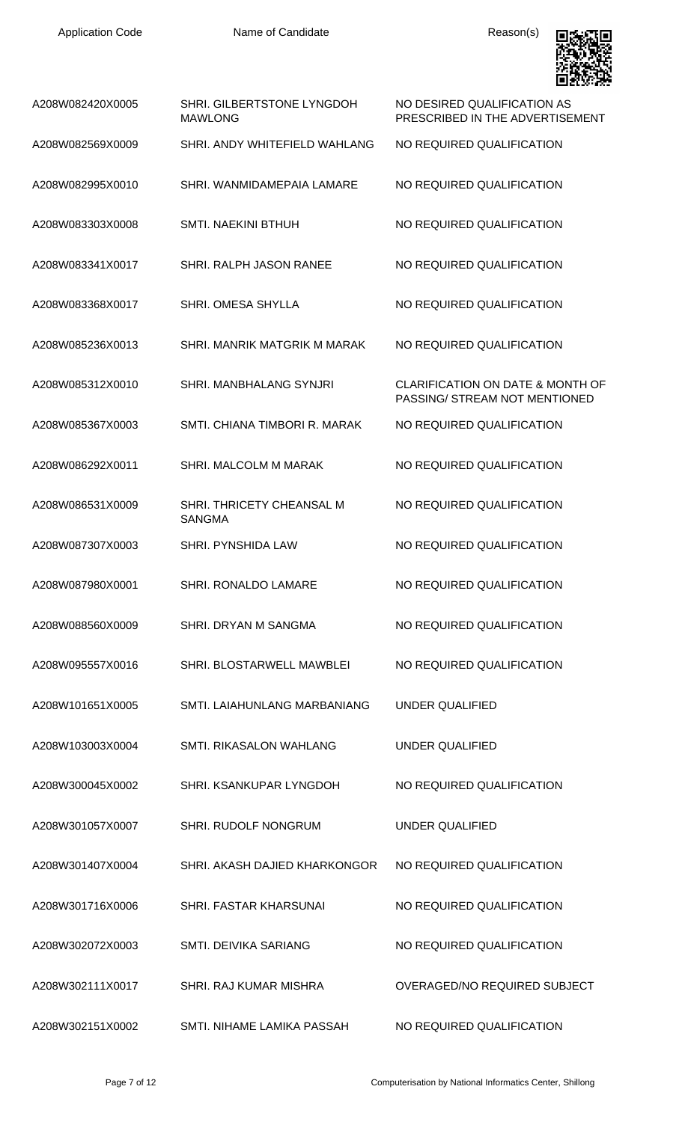

| A208W082420X0005 | SHRI. GILBERTSTONE LYNGDOH<br><b>MAWLONG</b> | NO DESIRED QUALIFICATION AS<br>PRESCRIBED IN THE ADVERTISEMENT               |
|------------------|----------------------------------------------|------------------------------------------------------------------------------|
| A208W082569X0009 | SHRI. ANDY WHITEFIELD WAHLANG                | NO REQUIRED QUALIFICATION                                                    |
| A208W082995X0010 | SHRI. WANMIDAMEPAIA LAMARE                   | NO REQUIRED QUALIFICATION                                                    |
| A208W083303X0008 | <b>SMTI. NAEKINI BTHUH</b>                   | NO REQUIRED QUALIFICATION                                                    |
| A208W083341X0017 | SHRI. RALPH JASON RANEE                      | NO REQUIRED QUALIFICATION                                                    |
| A208W083368X0017 | <b>SHRI. OMESA SHYLLA</b>                    | NO REQUIRED QUALIFICATION                                                    |
| A208W085236X0013 | SHRI. MANRIK MATGRIK M MARAK                 | NO REQUIRED QUALIFICATION                                                    |
| A208W085312X0010 | <b>SHRI. MANBHALANG SYNJRI</b>               | <b>CLARIFICATION ON DATE &amp; MONTH OF</b><br>PASSING/ STREAM NOT MENTIONED |
| A208W085367X0003 | SMTI, CHIANA TIMBORI R. MARAK                | NO REQUIRED QUALIFICATION                                                    |
| A208W086292X0011 | SHRI. MALCOLM M MARAK                        | NO REQUIRED QUALIFICATION                                                    |
| A208W086531X0009 | SHRI. THRICETY CHEANSAL M<br><b>SANGMA</b>   | NO REQUIRED QUALIFICATION                                                    |
| A208W087307X0003 | <b>SHRI. PYNSHIDA LAW</b>                    | NO REQUIRED QUALIFICATION                                                    |
| A208W087980X0001 | SHRI. RONALDO LAMARE                         | NO REQUIRED QUALIFICATION                                                    |
| A208W088560X0009 | SHRI. DRYAN M SANGMA                         | NO REQUIRED QUALIFICATION                                                    |
| A208W095557X0016 | SHRI. BLOSTARWELL MAWBLEI                    | NO REQUIRED QUALIFICATION                                                    |
| A208W101651X0005 | SMTI. LAIAHUNLANG MARBANIANG                 | <b>UNDER QUALIFIED</b>                                                       |
| A208W103003X0004 | SMTI. RIKASALON WAHLANG                      | <b>UNDER QUALIFIED</b>                                                       |
| A208W300045X0002 | SHRI. KSANKUPAR LYNGDOH                      | NO REQUIRED QUALIFICATION                                                    |
| A208W301057X0007 | SHRI. RUDOLF NONGRUM                         | <b>UNDER QUALIFIED</b>                                                       |
| A208W301407X0004 | SHRI. AKASH DAJIED KHARKONGOR                | NO REQUIRED QUALIFICATION                                                    |
| A208W301716X0006 | SHRI. FASTAR KHARSUNAI                       | NO REQUIRED QUALIFICATION                                                    |
| A208W302072X0003 | SMTI. DEIVIKA SARIANG                        | NO REQUIRED QUALIFICATION                                                    |
| A208W302111X0017 | SHRI, RAJ KUMAR MISHRA                       | OVERAGED/NO REQUIRED SUBJECT                                                 |
| A208W302151X0002 | SMTI. NIHAME LAMIKA PASSAH                   | NO REQUIRED QUALIFICATION                                                    |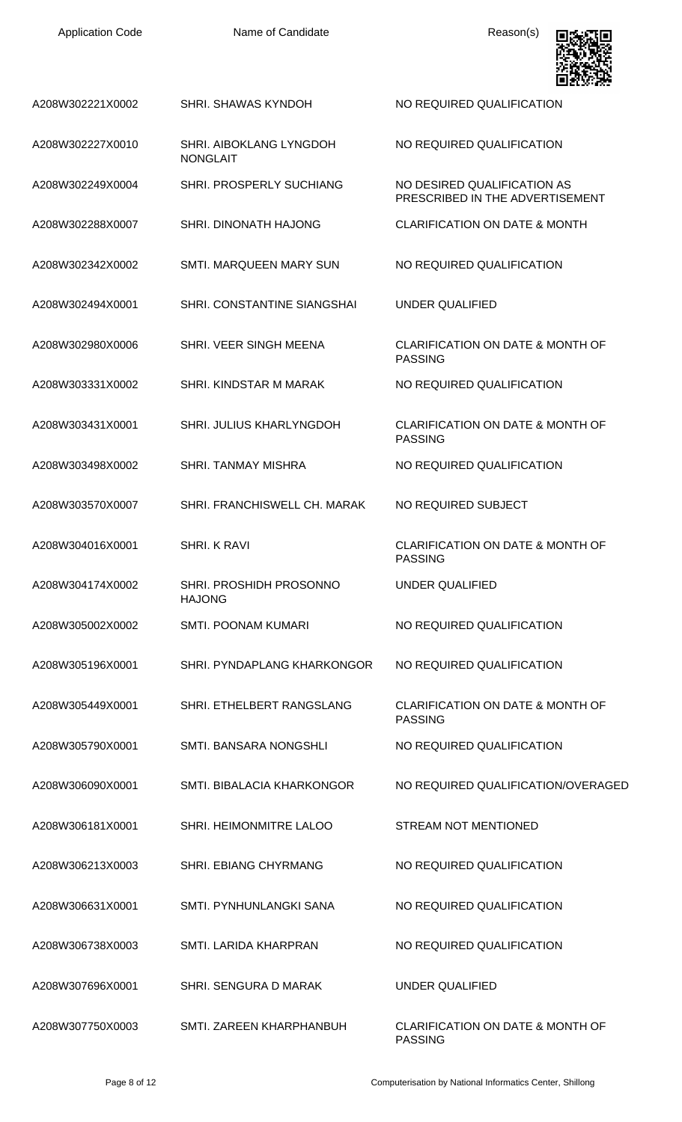| <b>Application Code</b> |  |
|-------------------------|--|
|-------------------------|--|

Name of Candidate **Name of Candidate** Reason(s)

NO REQUIRED QUALIFICATION

PASSING

PASSING

PASSING

PASSING

UNDER QUALIFIED

PRESCRIBED IN THE ADVERTISEMENT



A208W302221X0002 SHRI. SHAWAS KYNDOH NO REQUIRED QUALIFICATION

A208W302227X0010 SHRI. AIBOKLANG LYNGDOH NONGLAIT

A208W302249X0004 SHRI. PROSPERLY SUCHIANG NO DESIRED QUALIFICATION AS

A208W302288X0007 SHRI. DINONATH HAJONG CLARIFICATION ON DATE & MONTH

A208W302342X0002 SMTI. MARQUEEN MARY SUN NO REQUIRED QUALIFICATION

A208W302494X0001 SHRI. CONSTANTINE SIANGSHAI UNDER QUALIFIED

A208W302980X0006 SHRI. VEER SINGH MEENA CLARIFICATION ON DATE & MONTH OF

A208W303331X0002 SHRI. KINDSTAR M MARAK NO REQUIRED QUALIFICATION

A208W303431X0001 SHRI. JULIUS KHARLYNGDOH CLARIFICATION ON DATE & MONTH OF

A208W303498X0002 SHRI. TANMAY MISHRA NO REQUIRED QUALIFICATION

A208W303570X0007 SHRI. FRANCHISWELL CH. MARAK NO REQUIRED SUBJECT

A208W304016X0001 SHRI. K RAVI CLARIFICATION ON DATE & MONTH OF

A208W304174X0002 SHRI. PROSHIDH PROSONNO HAJONG

A208W305002X0002 SMTI. POONAM KUMARI NO REQUIRED QUALIFICATION

A208W305196X0001 SHRI. PYNDAPLANG KHARKONGOR NO REQUIRED QUALIFICATION

A208W305449X0001 SHRI. ETHELBERT RANGSLANG CLARIFICATION ON DATE & MONTH OF

A208W305790X0001 SMTI. BANSARA NONGSHLI NO REQUIRED QUALIFICATION

A208W306090X0001 SMTI. BIBALACIA KHARKONGOR NO REQUIRED QUALIFICATION/OVERAGED

A208W306181X0001 SHRI. HEIMONMITRE LALOO STREAM NOT MENTIONED

A208W306213X0003 SHRI. EBIANG CHYRMANG NO REQUIRED QUALIFICATION

A208W306631X0001 SMTI. PYNHUNLANGKI SANA NO REQUIRED QUALIFICATION

A208W306738X0003 SMTI. LARIDA KHARPRAN NO REQUIRED QUALIFICATION

A208W307696X0001 SHRI. SENGURA D MARAK UNDER QUALIFIED

A208W307750X0003 SMTI. ZAREEN KHARPHANBUH CLARIFICATION ON DATE & MONTH OF

PASSING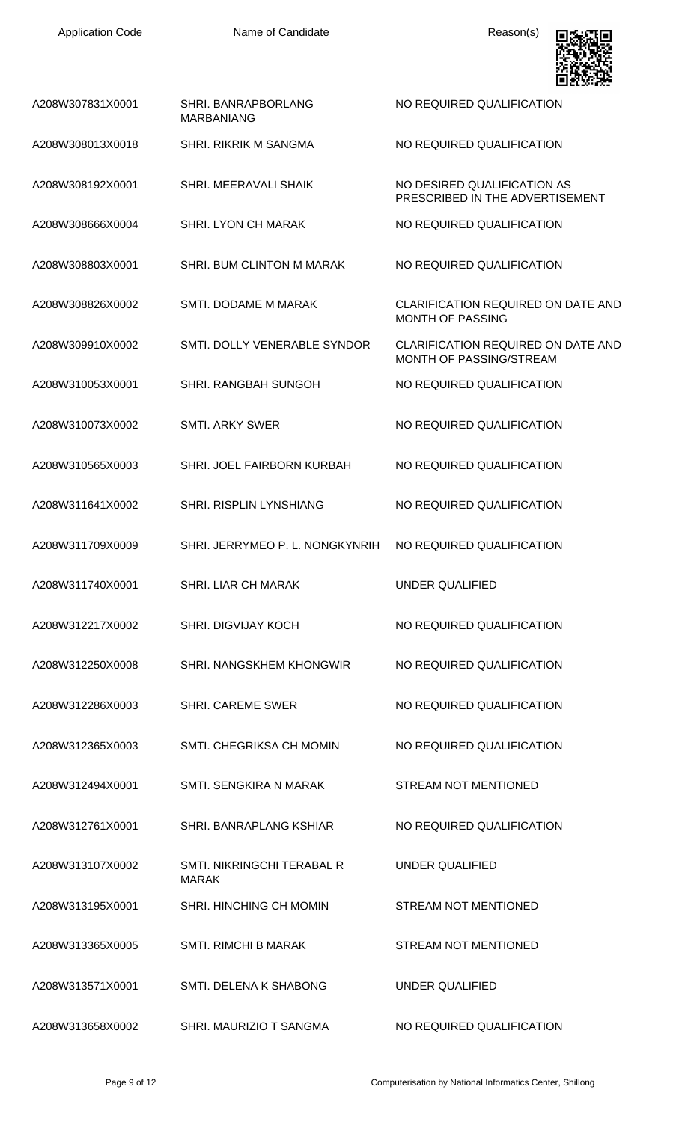

| A208W307831X0001 | SHRI. BANRAPBORLANG<br><b>MARBANIANG</b>   | NO REQUIRED QUALIFICATION                                            |
|------------------|--------------------------------------------|----------------------------------------------------------------------|
| A208W308013X0018 | <b>SHRI. RIKRIK M SANGMA</b>               | NO REQUIRED QUALIFICATION                                            |
| A208W308192X0001 | SHRI. MEERAVALI SHAIK                      | NO DESIRED QUALIFICATION AS<br>PRESCRIBED IN THE ADVERTISEMENT       |
| A208W308666X0004 | <b>SHRI. LYON CH MARAK</b>                 | NO REQUIRED QUALIFICATION                                            |
| A208W308803X0001 | SHRI. BUM CLINTON M MARAK                  | NO REQUIRED QUALIFICATION                                            |
| A208W308826X0002 | SMTI. DODAME M MARAK                       | CLARIFICATION REQUIRED ON DATE AND<br>MONTH OF PASSING               |
| A208W309910X0002 | SMTI. DOLLY VENERABLE SYNDOR               | <b>CLARIFICATION REQUIRED ON DATE AND</b><br>MONTH OF PASSING/STREAM |
| A208W310053X0001 | <b>SHRI. RANGBAH SUNGOH</b>                | NO REQUIRED QUALIFICATION                                            |
| A208W310073X0002 | <b>SMTI. ARKY SWER</b>                     | NO REQUIRED QUALIFICATION                                            |
| A208W310565X0003 | SHRI. JOEL FAIRBORN KURBAH                 | NO REQUIRED QUALIFICATION                                            |
| A208W311641X0002 | <b>SHRI. RISPLIN LYNSHIANG</b>             | NO REQUIRED QUALIFICATION                                            |
| A208W311709X0009 | SHRI. JERRYMEO P. L. NONGKYNRIH            | NO REQUIRED QUALIFICATION                                            |
| A208W311740X0001 | <b>SHRI. LIAR CH MARAK</b>                 | UNDER QUALIFIED                                                      |
| A208W312217X0002 | <b>SHRI. DIGVIJAY KOCH</b>                 | NO REQUIRED QUALIFICATION                                            |
| A208W312250X0008 | SHRI. NANGSKHEM KHONGWIR                   | NO REQUIRED QUALIFICATION                                            |
| A208W312286X0003 | <b>SHRI. CAREME SWER</b>                   | NO REQUIRED QUALIFICATION                                            |
| A208W312365X0003 | SMTI, CHEGRIKSA CH MOMIN                   | NO REQUIRED QUALIFICATION                                            |
| A208W312494X0001 | SMTI, SENGKIRA N MARAK                     | <b>STREAM NOT MENTIONED</b>                                          |
| A208W312761X0001 | SHRI, BANRAPLANG KSHIAR                    | NO REQUIRED QUALIFICATION                                            |
| A208W313107X0002 | SMTI. NIKRINGCHI TERABAL R<br><b>MARAK</b> | UNDER QUALIFIED                                                      |
| A208W313195X0001 | <b>SHRI. HINCHING CH MOMIN</b>             | <b>STREAM NOT MENTIONED</b>                                          |
| A208W313365X0005 | <b>SMTI. RIMCHI B MARAK</b>                | STREAM NOT MENTIONED                                                 |
| A208W313571X0001 | SMTI. DELENA K SHABONG                     | <b>UNDER QUALIFIED</b>                                               |
| A208W313658X0002 | SHRI. MAURIZIO T SANGMA                    | NO REQUIRED QUALIFICATION                                            |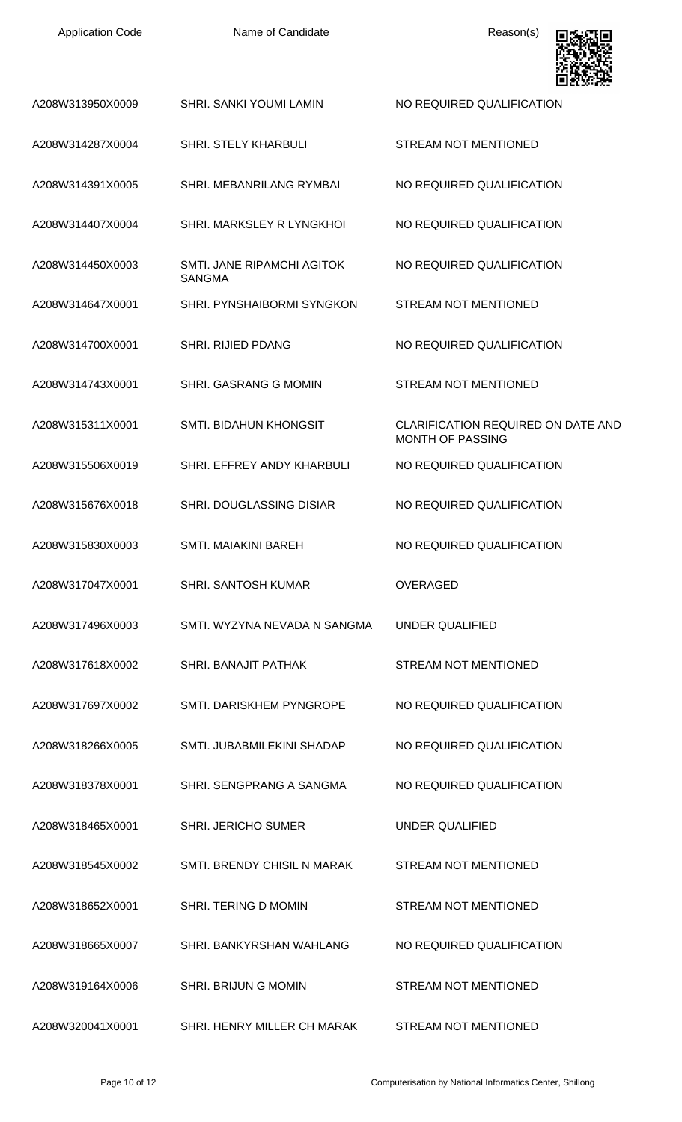| <b>Application Code</b> | Name of Candidate                           | Reason(s)                                                            |
|-------------------------|---------------------------------------------|----------------------------------------------------------------------|
| A208W313950X0009        | <b>SHRI. SANKI YOUMI LAMIN</b>              | NO REQUIRED QUALIFICATION                                            |
| A208W314287X0004        | <b>SHRI. STELY KHARBULI</b>                 | <b>STREAM NOT MENTIONED</b>                                          |
| A208W314391X0005        | SHRI. MEBANRILANG RYMBAI                    | NO REQUIRED QUALIFICATION                                            |
| A208W314407X0004        | SHRI. MARKSLEY R LYNGKHOL                   | NO REQUIRED QUALIFICATION                                            |
| A208W314450X0003        | SMTI, JANE RIPAMCHI AGITOK<br><b>SANGMA</b> | NO REQUIRED QUALIFICATION                                            |
| A208W314647X0001        | SHRI. PYNSHAIBORMI SYNGKON                  | <b>STREAM NOT MENTIONED</b>                                          |
| A208W314700X0001        | SHRI. RIJIED PDANG                          | NO REQUIRED QUALIFICATION                                            |
| A208W314743X0001        | SHRI. GASRANG G MOMIN                       | <b>STREAM NOT MENTIONED</b>                                          |
| A208W315311X0001        | SMTI. BIDAHUN KHONGSIT                      | <b>CLARIFICATION REQUIRED ON DATE AND</b><br><b>MONTH OF PASSING</b> |
| A208W315506X0019        | SHRI. EFFREY ANDY KHARBULI                  | NO REQUIRED QUALIFICATION                                            |
| A208W315676X0018        | <b>SHRI. DOUGLASSING DISIAR</b>             | NO REQUIRED QUALIFICATION                                            |
| A208W315830X0003        | <b>SMTI. MAIAKINI BAREH</b>                 | NO REQUIRED QUALIFICATION                                            |
| A208W317047X0001        | <b>SHRI. SANTOSH KUMAR</b>                  | <b>OVERAGED</b>                                                      |
| A208W317496X0003        | SMTI. WYZYNA NEVADA N SANGMA                | <b>UNDER QUALIFIED</b>                                               |
| A208W317618X0002        | SHRI. BANAJIT PATHAK                        | <b>STREAM NOT MENTIONED</b>                                          |
| A208W317697X0002        | SMTI. DARISKHEM PYNGROPE                    | NO REQUIRED QUALIFICATION                                            |
| A208W318266X0005        | SMTI. JUBABMILEKINI SHADAP                  | NO REQUIRED QUALIFICATION                                            |
| A208W318378X0001        | SHRI. SENGPRANG A SANGMA                    | NO REQUIRED QUALIFICATION                                            |
| A208W318465X0001        | <b>SHRI. JERICHO SUMER</b>                  | <b>UNDER QUALIFIED</b>                                               |
| A208W318545X0002        | SMTI. BRENDY CHISIL N MARAK                 | <b>STREAM NOT MENTIONED</b>                                          |
| A208W318652X0001        | SHRI. TERING D MOMIN                        | <b>STREAM NOT MENTIONED</b>                                          |
| A208W318665X0007        | SHRI. BANKYRSHAN WAHLANG                    | NO REQUIRED QUALIFICATION                                            |
| A208W319164X0006        | <b>SHRI. BRIJUNG MOMIN</b>                  | <b>STREAM NOT MENTIONED</b>                                          |
| A208W320041X0001        | SHRI. HENRY MILLER CH MARAK                 | STREAM NOT MENTIONED                                                 |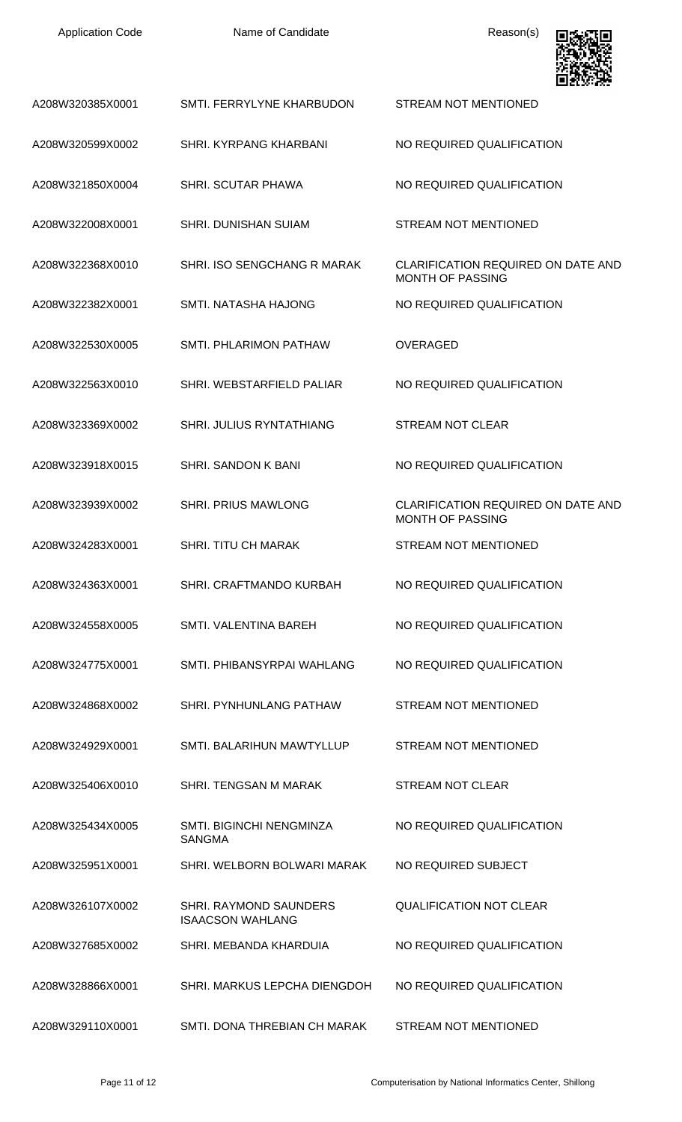| <b>Application Code</b> | Name of Candidate                                 | Reason(s)                                                            |
|-------------------------|---------------------------------------------------|----------------------------------------------------------------------|
| A208W320385X0001        | SMTI. FERRYLYNE KHARBUDON                         | <b>STREAM NOT MENTIONED</b>                                          |
| A208W320599X0002        | SHRI. KYRPANG KHARBANI                            | NO REQUIRED QUALIFICATION                                            |
| A208W321850X0004        | <b>SHRI. SCUTAR PHAWA</b>                         | NO REQUIRED QUALIFICATION                                            |
| A208W322008X0001        | <b>SHRI. DUNISHAN SUIAM</b>                       | <b>STREAM NOT MENTIONED</b>                                          |
| A208W322368X0010        | SHRI. ISO SENGCHANG R MARAK                       | <b>CLARIFICATION REQUIRED ON DATE AND</b><br><b>MONTH OF PASSING</b> |
| A208W322382X0001        | <b>SMTI. NATASHA HAJONG</b>                       | NO REQUIRED QUALIFICATION                                            |
| A208W322530X0005        | SMTI, PHLARIMON PATHAW                            | <b>OVERAGED</b>                                                      |
| A208W322563X0010        | SHRI. WEBSTARFIELD PALIAR                         | NO REQUIRED QUALIFICATION                                            |
| A208W323369X0002        | SHRI. JULIUS RYNTATHIANG                          | <b>STREAM NOT CLEAR</b>                                              |
| A208W323918X0015        | <b>SHRI, SANDON K BANI</b>                        | NO REQUIRED QUALIFICATION                                            |
| A208W323939X0002        | <b>SHRI. PRIUS MAWLONG</b>                        | CLARIFICATION REQUIRED ON DATE AND<br><b>MONTH OF PASSING</b>        |
| A208W324283X0001        | SHRI. TITU CH MARAK                               | STREAM NOT MENTIONED                                                 |
| A208W324363X0001        | SHRI. CRAFTMANDO KURBAH                           | NO REQUIRED QUALIFICATION                                            |
| A208W324558X0005        | SMTI, VALENTINA BAREH                             | NO REQUIRED QUALIFICATION                                            |
| A208W324775X0001        | SMTI, PHIBANSYRPAI WAHLANG                        | NO REQUIRED QUALIFICATION                                            |
| A208W324868X0002        | SHRI. PYNHUNLANG PATHAW                           | <b>STREAM NOT MENTIONED</b>                                          |
| A208W324929X0001        | SMTI. BALARIHUN MAWTYLLUP                         | <b>STREAM NOT MENTIONED</b>                                          |
| A208W325406X0010        | SHRI. TENGSAN M MARAK                             | <b>STREAM NOT CLEAR</b>                                              |
| A208W325434X0005        | SMTI. BIGINCHI NENGMINZA<br><b>SANGMA</b>         | NO REQUIRED QUALIFICATION                                            |
| A208W325951X0001        | SHRI. WELBORN BOLWARI MARAK                       | NO REQUIRED SUBJECT                                                  |
| A208W326107X0002        | SHRI. RAYMOND SAUNDERS<br><b>ISAACSON WAHLANG</b> | <b>QUALIFICATION NOT CLEAR</b>                                       |
| A208W327685X0002        | SHRI. MEBANDA KHARDUIA                            | NO REQUIRED QUALIFICATION                                            |
| A208W328866X0001        | SHRI. MARKUS LEPCHA DIENGDOH                      | NO REQUIRED QUALIFICATION                                            |
| A208W329110X0001        | SMTI. DONA THREBIAN CH MARAK                      | STREAM NOT MENTIONED                                                 |